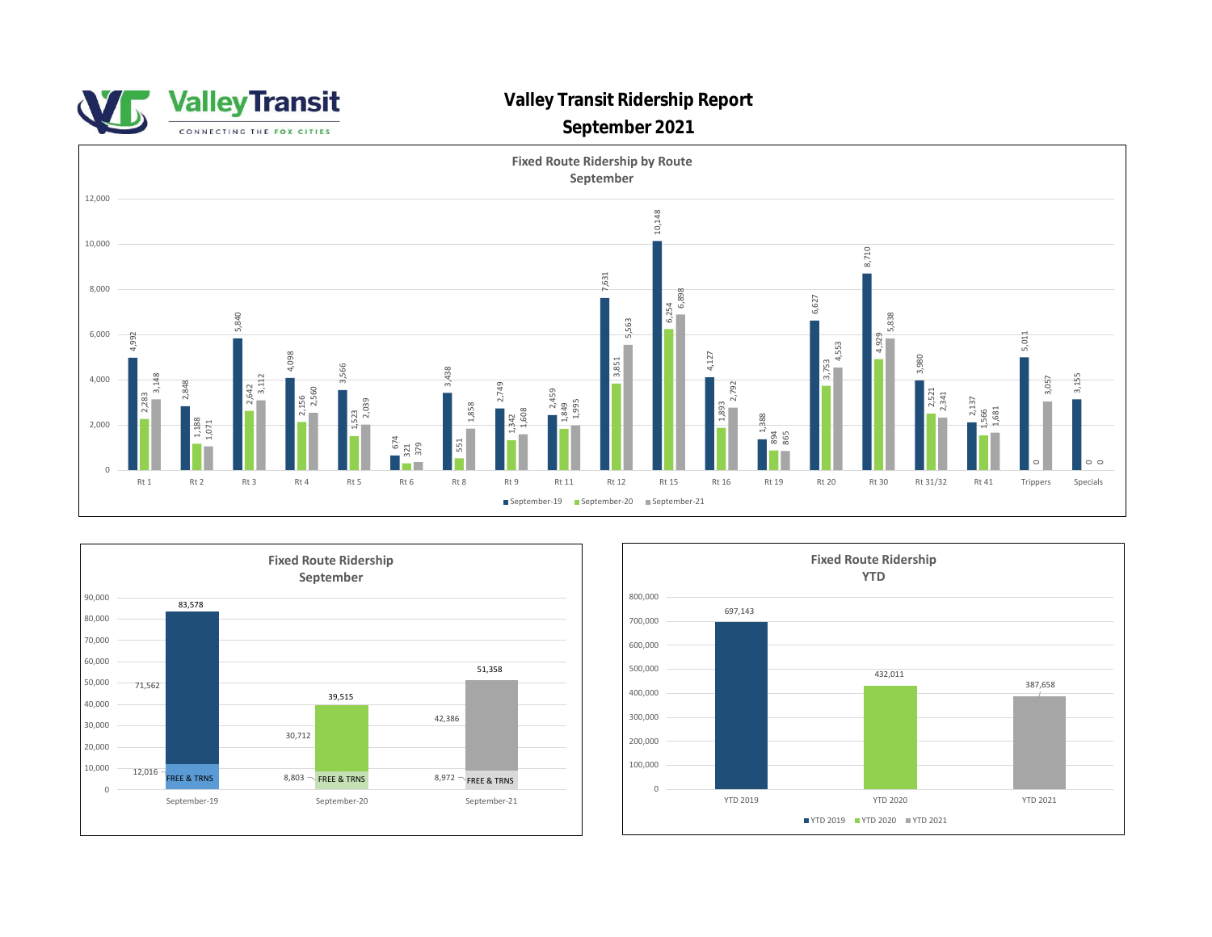



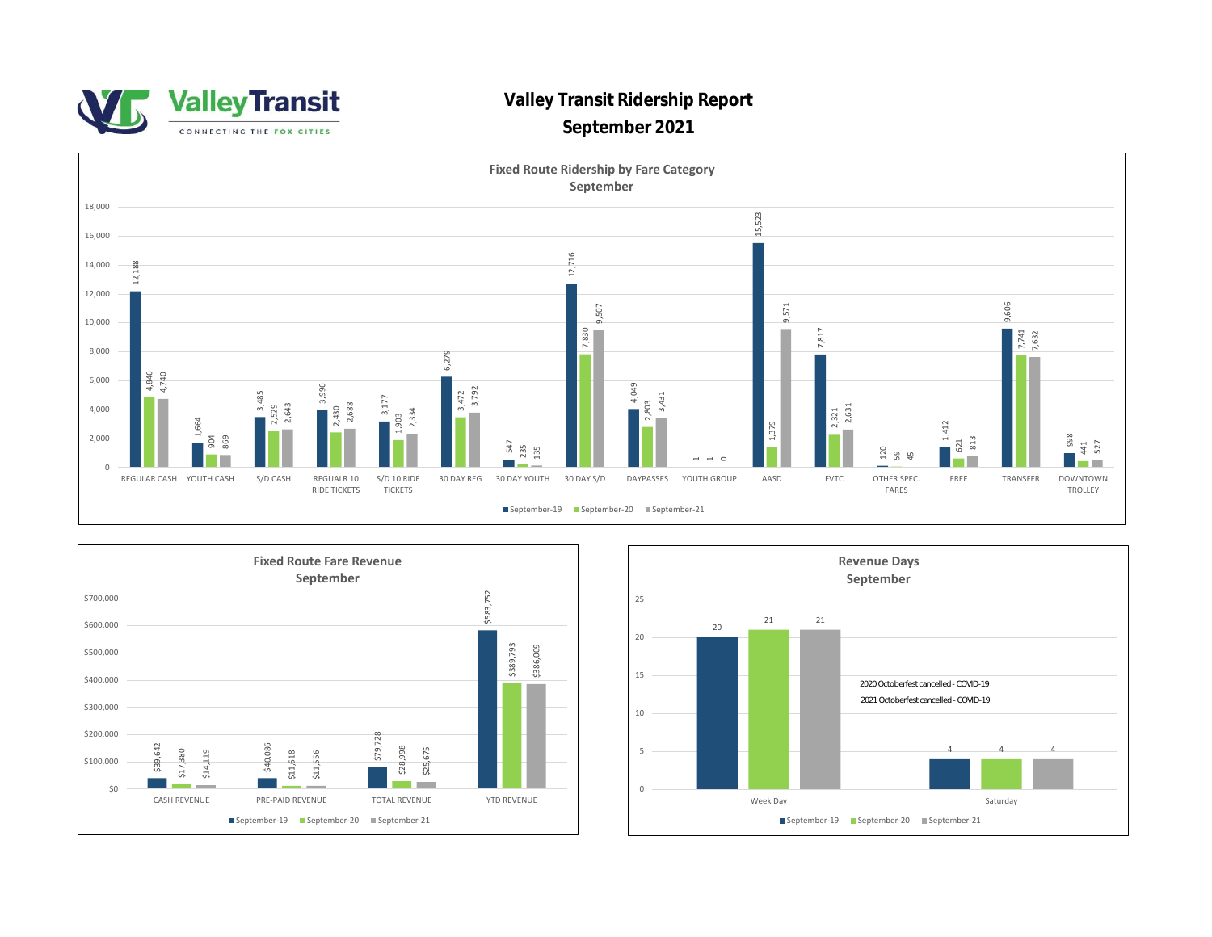

## **Valley Transit Ridership Report**

## **September 2021**